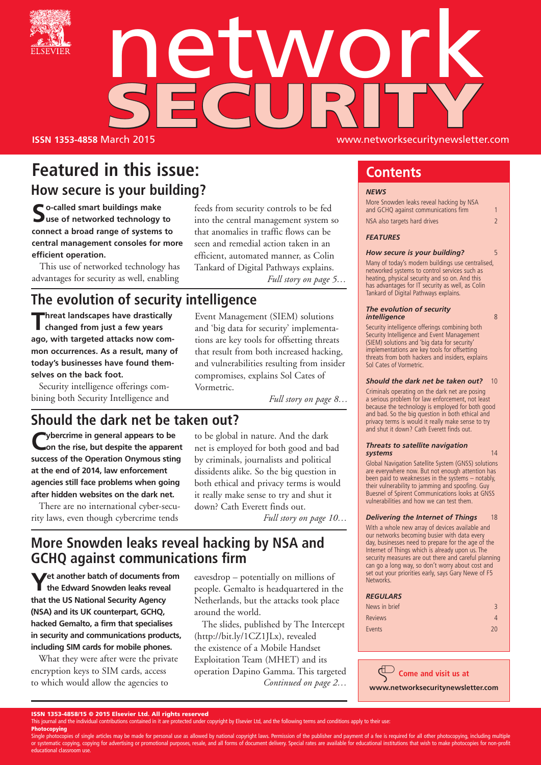

network **ISSN 1353-4858** March 2015 SECURITY www.networksecuritynewsletter.com

## **How secure is your building? Featured in this issue:**

So-called smart buildings make<br>
Suse of networked technology **use of networked technology to connect a broad range of systems to central management consoles for more efficient operation.** 

This use of networked technology has advantages for security as well, enabling

## **The evolution of security intelligence**

**T hreat landscapes have drastically changed from just a few years ago, with targeted attacks now common occurrences. As a result, many of today's businesses have found themselves on the back foot.**

Security intelligence offerings combining both Security Intelligence and feeds from security controls to be fed into the central management system so that anomalies in traffic flows can be seen and remedial action taken in an efficient, automated manner, as Colin Tankard of Digital Pathways explains. *Full story on page 5…*

Event Management (SIEM) solutions and 'big data for security' implementations are key tools for offsetting threats that result from both increased hacking, and vulnerabilities resulting from insider compromises, explains Sol Cates of Vormetric.

*Full story on page 8…*

## **Should the dark net be taken out?**

Cybercrime in general appears to be<br> **Con the rise, but despite the apparer on the rise, but despite the apparent success of the Operation Onymous sting at the end of 2014, law enforcement agencies still face problems when going after hidden websites on the dark net.**

There are no international cyber-security laws, even though cybercrime tends

We better is your During that the contribution relationship of the control of the control of the control of the control of the control of the control of the control of the control of the control of the control of the cont to be global in nature. And the dark net is employed for both good and bad by criminals, journalists and political dissidents alike. So the big question in both ethical and privacy terms is would it really make sense to try and shut it down? Cath Everett finds out.

*Full story on page 10…*

## **More Snowden leaks reveal hacking by NSA and GCHQ against communications firm**

**Y et another batch of documents from the Edward Snowden leaks reveal that the US National Security Agency (NSA) and its UK counterpart, GCHQ, hacked Gemalto, a firm that specialises in security and communications products, including SIM cards for mobile phones.**

What they were after were the private encryption keys to SIM cards, access to which would allow the agencies to

eavesdrop – potentially on millions of people. Gemalto is headquartered in the Netherlands, but the attacks took place around the world.

The slides, published by The Intercept (http://bit.ly/1CZ1JLx), revealed the existence of a Mobile Handset Exploitation Team (MHET) and its operation Dapino Gamma. This targeted *Continued on page 2…*

## **Contents**

| <b>FEATURES</b>                                                                  |               |
|----------------------------------------------------------------------------------|---------------|
| NSA also targets hard drives                                                     | $\mathcal{P}$ |
| More Snowden leaks reveal hacking by NSA<br>and GCHQ against communications firm |               |
|                                                                                  |               |

#### *How secure is your building?* 5

Many of today's modern buildings use centralised, networked systems to control services such as heating, physical security and so on. And this has advantages for IT security as well, as Colin Tankard of Digital Pathways explains.

#### *The evolution of security intelligence* 8

Security intelligence offerings combining both Security Intelligence and Event Management (SIEM) solutions and 'big data for security' implementations are key tools for offsetting threats from both hackers and insiders, explains Sol Cates of Vormetric.

#### *Should the dark net be taken out?* 10

Criminals operating on the dark net are posing a serious problem for law enforcement, not least because the technology is employed for both good and bad. So the big question in both ethical and privacy terms is would it really make sense to try and shut it down? Cath Everett finds out.

#### *Threats to satellite navigation systems* 14

Global Navigation Satellite System (GNSS) solutions are everywhere now. But not enough attention has been paid to weaknesses in the systems – notably, their vulnerability to jamming and spoofing. Guy Buesnel of Spirent Communications looks at GNSS vulnerabilities and how we can test them.

#### *Delivering the Internet of Things* 18

With a whole new array of devices available and our networks becoming busier with data every day, businesses need to prepare for the age of the Internet of Things which is already upon us. The security measures are out there and careful planning can go a long way, so don't worry about cost and set out your priorities early, says Gary Newe of F5 Networks.

#### *REGULARS*

| News in brief  |    |
|----------------|----|
| <b>Reviews</b> |    |
| Events         | 20 |

This journal and the individual contained in it are protected under copyright by Elsevier Ltd, and the following terms and conditions apply to their use: Photocopying

Single photocopies of single articles may be made for personal use as allowed by national copyright laws. Permission of the publisher and payment of a fee is required for all other photocopying, including multiple or systematic copying, copying for advertising or promotional purposes, resale, and all forms of document delivery. Special rates are available for educational institutions that wish to make photocopies for non-profit educational classroom use.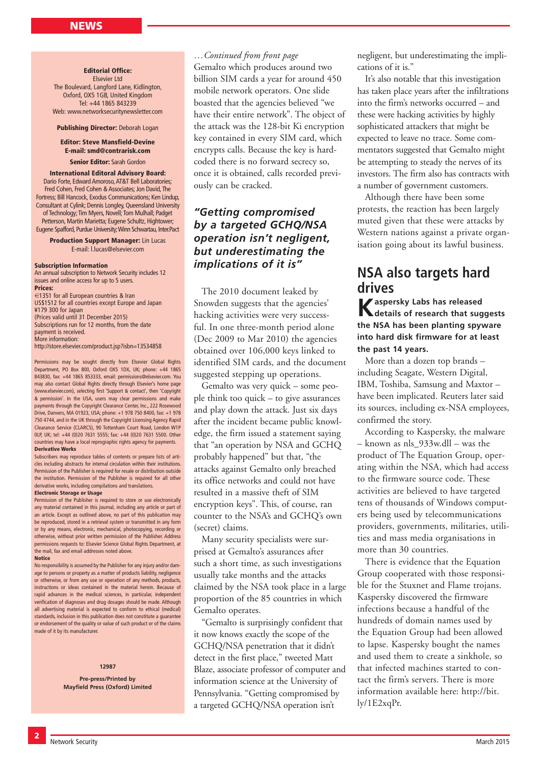#### Editorial Office:

Elsevier Ltd The Boulevard, Langford Lane, Kidlington, Oxford, OX5 1GB, United Kingdom Tel: +44 1865 843239 Web: www.networksecuritynewsletter.com

#### **hing Director:** Deboral **Publishing Director:** Deborah Logan

#### E-mail: smd@contrarisk.com Senior Editor: Sarah Gordon Editor: Steve Mansfield-Devine

International Editoral Advisory Board: Dario Forte, Edward Amoroso, AT&T Bell Laboratories; Fred Cohen, Fred Cohen & Associates; Jon David, The Fortress; Bill Hancock, Exodus Communications; Ken Lindup, Consultant at Cylink; Dennis Longley, Queensland University of Technology; Tim Myers, Novell; Tom Mulhall; Padget Petterson, Martin Marietta; Eugene Schultz, Hightower; Eugene Spafford, Purdue University; Winn Schwartau, Inter.Pact

Production Support Manager: Lin Lucas e-mail: l.lucas@elsevier.com

#### Subscription Information

An annual subscription to Network Security includes 12 issues and online access for up to 5 users.<br>Prices:  $\in$ 1351 for all European countries & Iran E1112 for all European countries & Iran US\$1512 for all countries except Europe and Japan  $\frac{1}{4}$  for  $\frac{1}{2}$  for Japan  $\frac{1}{2}$  and  $\frac{1}{2}$  and  $\frac{1}{2}$  and  $\frac{1}{2}$  and  $\frac{1}{2}$  and  $\frac{1}{2}$  and  $\frac{1}{2}$  and  $\frac{1}{2}$  and  $\frac{1}{2}$  and  $\frac{1}{2}$  and  $\frac{1}{2}$  and  $\frac{1}{2}$  and  $\frac{1}{2}$  and  $\frac{1$ (Prices valid until 31 December 2015) Subscriptions run for 12 months, from the date payment is received.<br>More information: +44 (0)1865 843687. Prices:

http://store.elsevier.com/product.jsp?isbn=13534858 or via www.networksecuritynewsletter.com

Permissions may be sought directly from Elsevier Global Rights received. Periodicals postage is paid at Rahway, NJ 07065, Department, PO Box 800, Oxford OX5 1DX, UK; phone: +44 1865 USA. Postmaster send all USA address corrections to: Network 843830, fax: +44 1865 853333, email: permissions@elsevier.com. You Security, 1865 Processer, Avenuel, NJ 07001, USA Directly through Elsevier's home page & permission'. In the USA, users may clear permissions and make payments through the Copyright Clearance Center, Inc., 222 Rosewood Drive, Danvers, MA 01923, USA; phone: +1 978 750 8400, fax: +1 978 750 4744, and in the UK through the Copyright Licensing Agency Rapid Clearance Service (CLARCS), 90 Tottenham Court Road, London W1P 0LP, UK; tel: +44 (0)20 7631 5555; fax: +44 (0)20 7631 5500. Other countries may have a local reprographic rights agency for payments.<br>Derivative Works (www.elsevier.com), selecting first 'Support & contact', then 'Copyright Derivative Works

Subscribers may reproduce tables of contents or prepare lists of articles including abstracts for internal circulation within their institutions. Permission of the Publisher is required for resale or distribution outside the institution. Permission of the Publisher is required for all other derivative works, including compilations and translations. Electronic Storage or Usage of artists of articles of articles of artists of artists of artists of artists or p

Permission of the Publisher is required to store or use electronically any material contained in this journal, including any article or part of an article. Except as outlined above, no part of this publication may be reproduced, stored in a retrieval system or transmitted in any form or by any means, electronic, mechanical, photocopying, recording or otherwise, without prior written permission of the Publisher. Address permissions requests to: Elsevier Science Global Rights Department, at the mail, fax and email addresses noted above. be reproduced, stored in a retrieval system or transmitted in any form Notice

No responsibility is assumed by the Publisher for any injury and/or damage to persons or property as a matter of products liability, negligence or otherwise, or from any use or operation of any methods, products, instructions or ideas contained in the material herein. Because of rapid advances in the medical sciences, in particular, independent verification of diagnoses and drug dosages should be made. Although all advertising material is expected to conform to ethical (medical) standards, inclusion in this publication does not constitute a guarantee or endorsement of the quality or value of such product or of the claims rapide of it by its manufacturer. The medical sciences, independent of the medical sciences, independent of the

#### **12987**

Pre-press/Printed by **Pre-press/Printed by**  Mayfield Press (Oxford) Limited **Mayfield Press (Oxford) Limited**

*…Continued from front page* Gemalto which produces around two billion SIM cards a year for around 450 mobile network operators. One slide boasted that the agencies believed "we have their entire network". The object of the attack was the 128-bit Ki encryption key contained in every SIM card, which encrypts calls. Because the key is hardcoded there is no forward secrecy so, once it is obtained, calls recorded previously can be cracked.

#### *"Getting compromised by a targeted GCHQ/NSA operation isn't negligent, but underestimating the implications of it is"*

The 2010 document leaked by Snowden suggests that the agencies' hacking activities were very successful. In one three-month period alone (Dec 2009 to Mar 2010) the agencies obtained over 106,000 keys linked to identified SIM cards, and the document suggested stepping up operations.

Gemalto was very quick – some people think too quick – to give assurances and play down the attack. Just six days after the incident became public knowledge, the firm issued a statement saying that "an operation by NSA and GCHQ probably happened" but that, "the attacks against Gemalto only breached its office networks and could not have resulted in a massive theft of SIM encryption keys". This, of course, ran counter to the NSA's and GCHQ's own (secret) claims.

Many security specialists were surprised at Gemalto's assurances after such a short time, as such investigations usually take months and the attacks claimed by the NSA took place in a large proportion of the 85 countries in which Gemalto operates.

"Gemalto is surprisingly confident that it now knows exactly the scope of the GCHQ/NSA penetration that it didn't detect in the first place," tweeted Matt Blaze, associate professor of computer and information science at the University of Pennsylvania. "Getting compromised by a targeted GCHQ/NSA operation isn't

negligent, but underestimating the implications of it is."

It's also notable that this investigation has taken place years after the infiltrations into the firm's networks occurred – and these were hacking activities by highly sophisticated attackers that might be expected to leave no trace. Some commentators suggested that Gemalto might be attempting to steady the nerves of its investors. The firm also has contracts with a number of government customers.

Although there have been some protests, the reaction has been largely muted given that these were attacks by Western nations against a private organisation going about its lawful business.

### **NSA also targets hard drives**

**K aspersky Labs has released details of research that suggests the NSA has been planting spyware into hard disk firmware for at least the past 14 years.**

More than a dozen top brands – including Seagate, Western Digital, IBM, Toshiba, Samsung and Maxtor – have been implicated. Reuters later said its sources, including ex-NSA employees, confirmed the story.

According to Kaspersky, the malware – known as nls\_933w.dll – was the product of The Equation Group, operating within the NSA, which had access to the firmware source code. These activities are believed to have targeted tens of thousands of Windows computers being used by telecommunications providers, governments, militaries, utilities and mass media organisations in more than 30 countries.

There is evidence that the Equation Group cooperated with those responsible for the Stuxnet and Flame trojans. Kaspersky discovered the firmware infections because a handful of the hundreds of domain names used by the Equation Group had been allowed to lapse. Kaspersky bought the names and used them to create a sinkhole, so that infected machines started to contact the firm's servers. There is more information available here: http://bit. ly/1E2xqPr.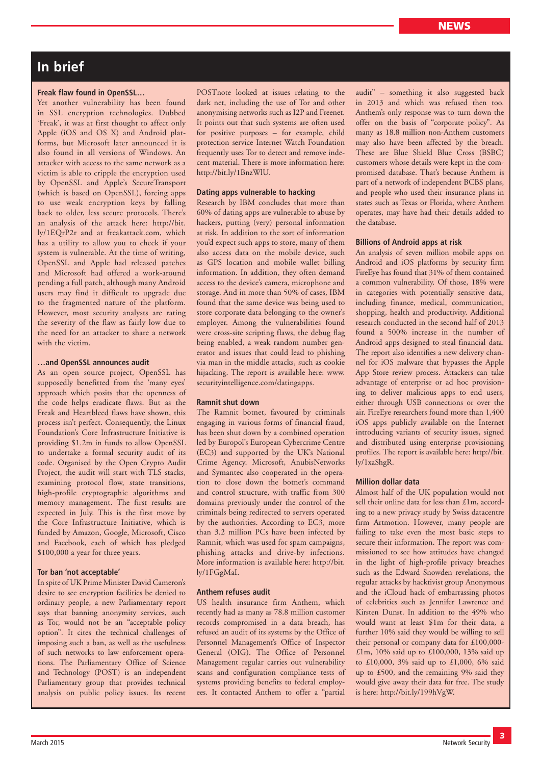## **In brief**

#### **Freak flaw found in OpenSSL…**

Yet another vulnerability has been found in SSL encryption technologies. Dubbed 'Freak', it was at first thought to affect only Apple (iOS and OS X) and Android platforms, but Microsoft later announced it is also found in all versions of Windows. An attacker with access to the same network as a victim is able to cripple the encryption used by OpenSSL and Apple's SecureTransport (which is based on OpenSSL), forcing apps to use weak encryption keys by falling back to older, less secure protocols. There's an analysis of the attack here: http://bit. ly/1EQrP2r and at freakattack.com, which has a utility to allow you to check if your system is vulnerable. At the time of writing, OpenSSL and Apple had released patches and Microsoft had offered a work-around pending a full patch, although many Android users may find it difficult to upgrade due to the fragmented nature of the platform. However, most security analysts are rating the severity of the flaw as fairly low due to the need for an attacker to share a network with the victim.

#### **…and OpenSSL announces audit**

As an open source project, OpenSSL has supposedly benefitted from the 'many eyes' approach which posits that the openness of the code helps eradicate flaws. But as the Freak and Heartbleed flaws have shown, this process isn't perfect. Consequently, the Linux Foundation's Core Infrastructure Initiative is providing \$1.2m in funds to allow OpenSSL to undertake a formal security audit of its code. Organised by the Open Crypto Audit Project, the audit will start with TLS stacks, examining protocol flow, state transitions, high-profile cryptographic algorithms and memory management. The first results are expected in July. This is the first move by the Core Infrastructure Initiative, which is funded by Amazon, Google, Microsoft, Cisco and Facebook, each of which has pledged \$100,000 a year for three years.

#### **Tor ban 'not acceptable'**

In spite of UK Prime Minister David Cameron's desire to see encryption facilities be denied to ordinary people, a new Parliamentary report says that banning anonymity services, such as Tor, would not be an "acceptable policy option". It cites the technical challenges of imposing such a ban, as well as the usefulness of such networks to law enforcement operations. The Parliamentary Office of Science and Technology (POST) is an independent Parliamentary group that provides technical analysis on public policy issues. Its recent

POSTnote looked at issues relating to the dark net, including the use of Tor and other anonymising networks such as I2P and Freenet. It points out that such systems are often used for positive purposes – for example, child protection service Internet Watch Foundation frequently uses Tor to detect and remove indecent material. There is more information here: http://bit.ly/1BnzWlU.

#### **Dating apps vulnerable to hacking**

Research by IBM concludes that more than 60% of dating apps are vulnerable to abuse by hackers, putting (very) personal information at risk. In addition to the sort of information you'd expect such apps to store, many of them also access data on the mobile device, such as GPS location and mobile wallet billing information. In addition, they often demand access to the device's camera, microphone and storage. And in more than 50% of cases, IBM found that the same device was being used to store corporate data belonging to the owner's employer. Among the vulnerabilities found were cross-site scripting flaws, the debug flag being enabled, a weak random number generator and issues that could lead to phishing via man in the middle attacks, such as cookie hijacking. The report is available here: www. securityintelligence.com/datingapps.

#### **Ramnit shut down**

The Ramnit botnet, favoured by criminals engaging in various forms of financial fraud, has been shut down by a combined operation led by Europol's European Cybercrime Centre (EC3) and supported by the UK's National Crime Agency. Microsoft, AnubisNetworks and Symantec also cooperated in the operation to close down the botnet's command and control structure, with traffic from 300 domains previously under the control of the criminals being redirected to servers operated by the authorities. According to EC3, more than 3.2 million PCs have been infected by Ramnit, which was used for spam campaigns, phishing attacks and drive-by infections. More information is available here: http://bit. ly/1FGgMaI.

#### **Anthem refuses audit**

US health insurance firm Anthem, which recently had as many as 78.8 million customer records compromised in a data breach, has refused an audit of its systems by the Office of Personnel Management's Office of Inspector General (OIG). The Office of Personnel Management regular carries out vulnerability scans and configuration compliance tests of systems providing benefits to federal employees. It contacted Anthem to offer a "partial

audit" – something it also suggested back in 2013 and which was refused then too. Anthem's only response was to turn down the offer on the basis of "corporate policy". As many as 18.8 million non-Anthem customers may also have been affected by the breach. These are Blue Shield Blue Cross (BSBC) customers whose details were kept in the compromised database. That's because Anthem is part of a network of independent BCBS plans, and people who used their insurance plans in states such as Texas or Florida, where Anthem operates, may have had their details added to the database.

#### **Billions of Android apps at risk**

An analysis of seven million mobile apps on Android and iOS platforms by security firm FireEye has found that 31% of them contained a common vulnerability. Of those, 18% were in categories with potentially sensitive data, including finance, medical, communication, shopping, health and productivity. Additional research conducted in the second half of 2013 found a 500% increase in the number of Android apps designed to steal financial data. The report also identifies a new delivery channel for iOS malware that bypasses the Apple App Store review process. Attackers can take advantage of enterprise or ad hoc provisioning to deliver malicious apps to end users, either through USB connections or over the air. FireEye researchers found more than 1,400 iOS apps publicly available on the Internet introducing variants of security issues, signed and distributed using enterprise provisioning profiles. The report is available here: http://bit. ly/1xaShgR.

#### **Million dollar data**

Almost half of the UK population would not sell their online data for less than £1m, according to a new privacy study by Swiss datacentre firm Artmotion. However, many people are failing to take even the most basic steps to secure their information. The report was commissioned to see how attitudes have changed in the light of high-profile privacy breaches such as the Edward Snowden revelations, the regular attacks by hacktivist group Anonymous and the iCloud hack of embarrassing photos of celebrities such as Jennifer Lawrence and Kirsten Dunst. In addition to the 49% who would want at least \$1m for their data, a further 10% said they would be willing to sell their personal or company data for £100,000- £1m, 10% said up to £100,000, 13% said up to £10,000, 3% said up to £1,000, 6% said up to £500, and the remaining 9% said they would give away their data for free. The study is here: http://bit.ly/199hVgW.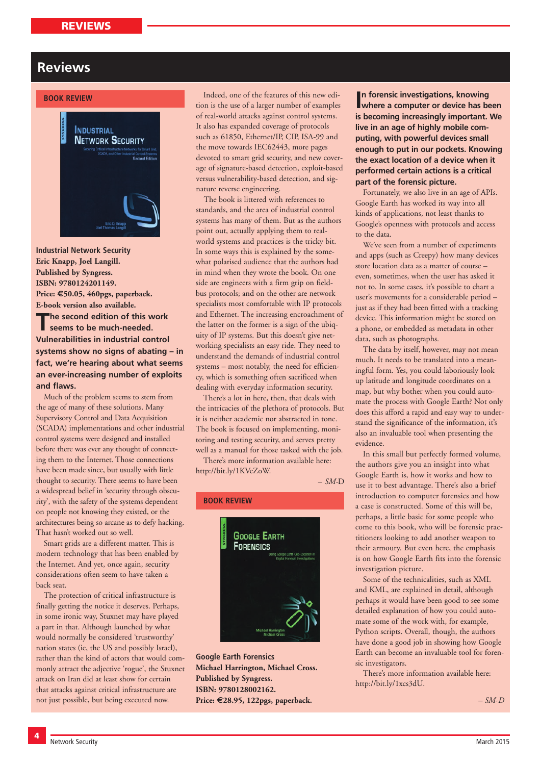## **Reviews**

#### **BOOK REVIEW**



**Industrial Network Security Eric Knapp, Joel Langill. Published by Syngress. ISBN: 9780124201149. Price: E50.05, 460pgs, paperback. E-book version also available. T he second edition of this work seems to be much-needed. Vulnerabilities in industrial control systems show no signs of abating – in fact, we're hearing about what seems an ever-increasing number of exploits** 

**and flaws.** Much of the problem seems to stem from the age of many of these solutions. Many Supervisory Control and Data Acquisition (SCADA) implementations and other industrial control systems were designed and installed before there was ever any thought of connecting them to the Internet. Those connections have been made since, but usually with little thought to security. There seems to have been a widespread belief in 'security through obscurity', with the safety of the systems dependent on people not knowing they existed, or the architectures being so arcane as to defy hacking. That hasn't worked out so well.

Smart grids are a different matter. This is modern technology that has been enabled by the Internet. And yet, once again, security considerations often seem to have taken a back seat.

The protection of critical infrastructure is finally getting the notice it deserves. Perhaps, in some ironic way, Stuxnet may have played a part in that. Although launched by what would normally be considered 'trustworthy' nation states (ie, the US and possibly Israel), rather than the kind of actors that would commonly attract the adjective 'rogue', the Stuxnet attack on Iran did at least show for certain that attacks against critical infrastructure are not just possible, but being executed now.

Indeed, one of the features of this new edition is the use of a larger number of examples of real-world attacks against control systems. It also has expanded coverage of protocols such as 61850, Ethernet/IP, CIP, ISA-99 and the move towards IEC62443, more pages devoted to smart grid security, and new coverage of signature-based detection, exploit-based versus vulnerability-based detection, and signature reverse engineering.

The book is littered with references to standards, and the area of industrial control systems has many of them. But as the authors point out, actually applying them to realworld systems and practices is the tricky bit. In some ways this is explained by the somewhat polarised audience that the authors had in mind when they wrote the book. On one side are engineers with a firm grip on fieldbus protocols; and on the other are network specialists most comfortable with IP protocols and Ethernet. The increasing encroachment of the latter on the former is a sign of the ubiquity of IP systems. But this doesn't give networking specialists an easy ride. They need to understand the demands of industrial control systems – most notably, the need for efficiency, which is something often sacrificed when dealing with everyday information security.

There's a lot in here, then, that deals with the intricacies of the plethora of protocols. But it is neither academic nor abstracted in tone. The book is focused on implementing, monitoring and testing security, and serves pretty well as a manual for those tasked with the job.

There's more information available here: http://bit.ly/1KVeZoW.

– *SM-*D

#### **BOOK REVIEW**



**Google Earth Forensics Michael Harrington, Michael Cross. Published by Syngress. ISBN: 9780128002162. Price: E28.95, 122pgs, paperback.**

**In forensic investigations, knowing**<br>
where a computer or device has been **n forensic investigations, knowing is becoming increasingly important. We live in an age of highly mobile computing, with powerful devices small enough to put in our pockets. Knowing the exact location of a device when it performed certain actions is a critical part of the forensic picture.**

Fortunately, we also live in an age of APIs. Google Earth has worked its way into all kinds of applications, not least thanks to Google's openness with protocols and access to the data.

We've seen from a number of experiments and apps (such as Creepy) how many devices store location data as a matter of course – even, sometimes, when the user has asked it not to. In some cases, it's possible to chart a user's movements for a considerable period – just as if they had been fitted with a tracking device. This information might be stored on a phone, or embedded as metadata in other data, such as photographs.

The data by itself, however, may not mean much. It needs to be translated into a meaningful form. Yes, you could laboriously look up latitude and longitude coordinates on a map, but why bother when you could automate the process with Google Earth? Not only does this afford a rapid and easy way to understand the significance of the information, it's also an invaluable tool when presenting the evidence.

In this small but perfectly formed volume, the authors give you an insight into what Google Earth is, how it works and how to use it to best advantage. There's also a brief introduction to computer forensics and how a case is constructed. Some of this will be, perhaps, a little basic for some people who come to this book, who will be forensic practitioners looking to add another weapon to their armoury. But even here, the emphasis is on how Google Earth fits into the forensic investigation picture.

Some of the technicalities, such as XML and KML, are explained in detail, although perhaps it would have been good to see some detailed explanation of how you could automate some of the work with, for example, Python scripts. Overall, though, the authors have done a good job in showing how Google Earth can become an invaluable tool for forensic investigators.

There's more information available here: http://bit.ly/1xcs3dU.

 *– SM-D*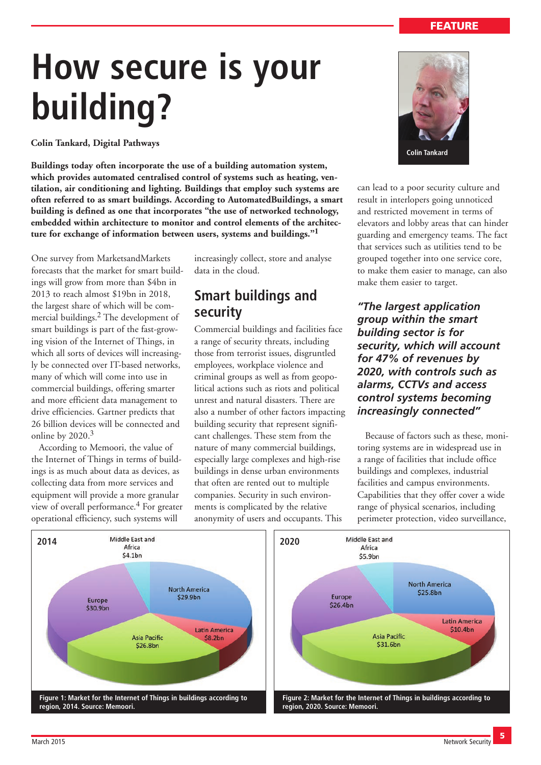# **How secure is your building?**

**Colin Tankard, Digital Pathways**

**Buildings today often incorporate the use of a building automation system, which provides automated centralised control of systems such as heating, ventilation, air conditioning and lighting. Buildings that employ such systems are often referred to as smart buildings. According to AutomatedBuildings, a smart building is defined as one that incorporates "the use of networked technology, embedded within architecture to monitor and control elements of the architecture for exchange of information between users, systems and buildings."<sup>1</sup>**

One survey from MarketsandMarkets forecasts that the market for smart buildings will grow from more than \$4bn in 2013 to reach almost \$19bn in 2018, the largest share of which will be commercial buildings.<sup>2</sup> The development of smart buildings is part of the fast-growing vision of the Internet of Things, in which all sorts of devices will increasingly be connected over IT-based networks, many of which will come into use in commercial buildings, offering smarter and more efficient data management to drive efficiencies. Gartner predicts that 26 billion devices will be connected and online by 2020.<sup>3</sup>

According to Memoori, the value of the Internet of Things in terms of buildings is as much about data as devices, as collecting data from more services and equipment will provide a more granular view of overall performance.<sup>4</sup> For greater operational efficiency, such systems will

increasingly collect, store and analyse data in the cloud.

## **Smart buildings and security**

Commercial buildings and facilities face a range of security threats, including those from terrorist issues, disgruntled employees, workplace violence and criminal groups as well as from geopolitical actions such as riots and political unrest and natural disasters. There are also a number of other factors impacting building security that represent significant challenges. These stem from the nature of many commercial buildings, especially large complexes and high-rise buildings in dense urban environments that often are rented out to multiple companies. Security in such environments is complicated by the relative anonymity of users and occupants. This



can lead to a poor security culture and result in interlopers going unnoticed and restricted movement in terms of elevators and lobby areas that can hinder guarding and emergency teams. The fact that services such as utilities tend to be grouped together into one service core, to make them easier to manage, can also make them easier to target.

*"The largest application group within the smart building sector is for security, which will account for 47% of revenues by 2020, with controls such as alarms, CCTVs and access control systems becoming increasingly connected"*

Because of factors such as these, monitoring systems are in widespread use in a range of facilities that include office buildings and complexes, industrial facilities and campus environments. Capabilities that they offer cover a wide range of physical scenarios, including perimeter protection, video surveillance,

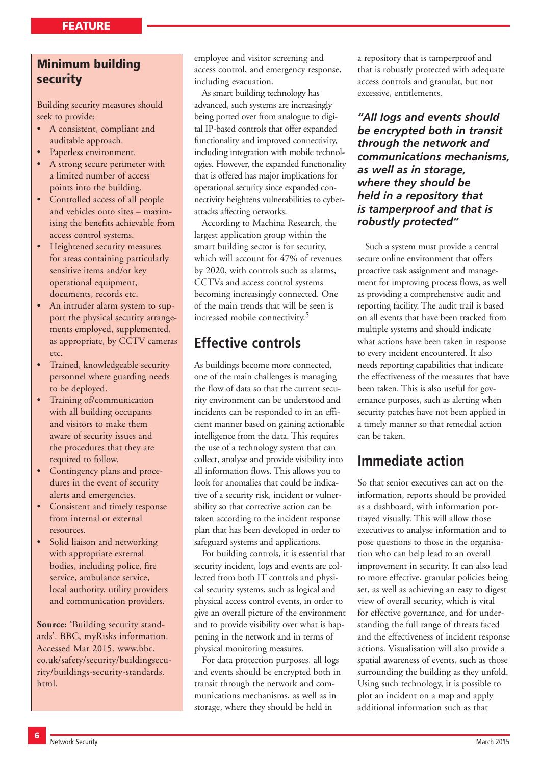### Minimum building security

Building security measures should seek to provide:

- A consistent, compliant and auditable approach.
- Paperless environment.
- A strong secure perimeter with a limited number of access points into the building.
- Controlled access of all people and vehicles onto sites – maximising the benefits achievable from access control systems.
- Heightened security measures for areas containing particularly sensitive items and/or key operational equipment, documents, records etc.
- An intruder alarm system to support the physical security arrangements employed, supplemented, as appropriate, by CCTV cameras etc.
- Trained, knowledgeable security personnel where guarding needs to be deployed.
- Training of/communication with all building occupants and visitors to make them aware of security issues and the procedures that they are required to follow.
- Contingency plans and procedures in the event of security alerts and emergencies.
- Consistent and timely response from internal or external resources.
- Solid liaison and networking with appropriate external bodies, including police, fire service, ambulance service, local authority, utility providers and communication providers.

**Source:** 'Building security standards'. BBC, myRisks information. Accessed Mar 2015. www.bbc. co.uk/safety/security/buildingsecurity/buildings-security-standards. html.

employee and visitor screening and access control, and emergency response, including evacuation.

As smart building technology has advanced, such systems are increasingly being ported over from analogue to digital IP-based controls that offer expanded functionality and improved connectivity, including integration with mobile technologies. However, the expanded functionality that is offered has major implications for operational security since expanded connectivity heightens vulnerabilities to cyberattacks affecting networks.

According to Machina Research, the largest application group within the smart building sector is for security, which will account for 47% of revenues by 2020, with controls such as alarms, CCTVs and access control systems becoming increasingly connected. One of the main trends that will be seen is increased mobile connectivity.<sup>5</sup>

## **Effective controls**

As buildings become more connected, one of the main challenges is managing the flow of data so that the current security environment can be understood and incidents can be responded to in an efficient manner based on gaining actionable intelligence from the data. This requires the use of a technology system that can collect, analyse and provide visibility into all information flows. This allows you to look for anomalies that could be indicative of a security risk, incident or vulnerability so that corrective action can be taken according to the incident response plan that has been developed in order to safeguard systems and applications.

For building controls, it is essential that security incident, logs and events are collected from both IT controls and physical security systems, such as logical and physical access control events, in order to give an overall picture of the environment and to provide visibility over what is happening in the network and in terms of physical monitoring measures.

For data protection purposes, all logs and events should be encrypted both in transit through the network and communications mechanisms, as well as in storage, where they should be held in

a repository that is tamperproof and that is robustly protected with adequate access controls and granular, but not excessive, entitlements.

*"All logs and events should be encrypted both in transit through the network and communications mechanisms, as well as in storage, where they should be held in a repository that is tamperproof and that is robustly protected"*

Such a system must provide a central secure online environment that offers proactive task assignment and management for improving process flows, as well as providing a comprehensive audit and reporting facility. The audit trail is based on all events that have been tracked from multiple systems and should indicate what actions have been taken in response to every incident encountered. It also needs reporting capabilities that indicate the effectiveness of the measures that have been taken. This is also useful for governance purposes, such as alerting when security patches have not been applied in a timely manner so that remedial action can be taken.

## **Immediate action**

So that senior executives can act on the information, reports should be provided as a dashboard, with information portrayed visually. This will allow those executives to analyse information and to pose questions to those in the organisation who can help lead to an overall improvement in security. It can also lead to more effective, granular policies being set, as well as achieving an easy to digest view of overall security, which is vital for effective governance, and for understanding the full range of threats faced and the effectiveness of incident response actions. Visualisation will also provide a spatial awareness of events, such as those surrounding the building as they unfold. Using such technology, it is possible to plot an incident on a map and apply additional information such as that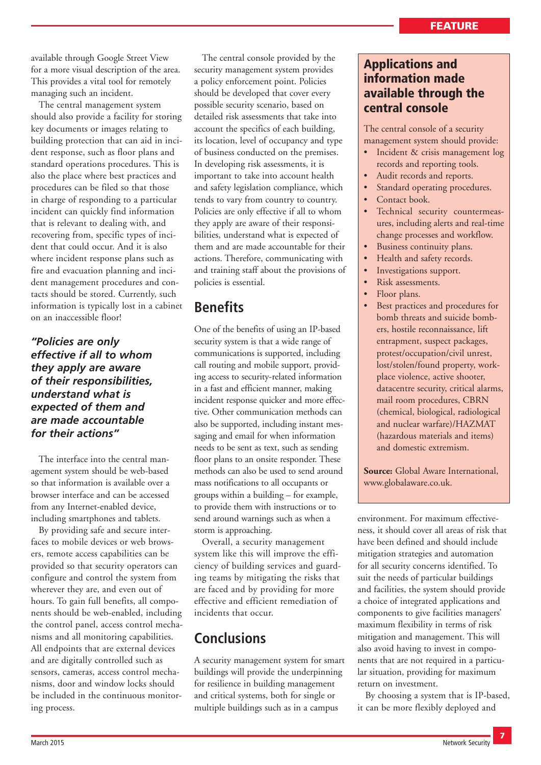available through Google Street View for a more visual description of the area. This provides a vital tool for remotely managing such an incident.

The central management system should also provide a facility for storing key documents or images relating to building protection that can aid in incident response, such as floor plans and standard operations procedures. This is also the place where best practices and procedures can be filed so that those in charge of responding to a particular incident can quickly find information that is relevant to dealing with, and recovering from, specific types of incident that could occur. And it is also where incident response plans such as fire and evacuation planning and incident management procedures and contacts should be stored. Currently, such information is typically lost in a cabinet on an inaccessible floor!

*"Policies are only effective if all to whom they apply are aware of their responsibilities, understand what is expected of them and are made accountable for their actions"*

The interface into the central management system should be web-based so that information is available over a browser interface and can be accessed from any Internet-enabled device, including smartphones and tablets.

By providing safe and secure interfaces to mobile devices or web browsers, remote access capabilities can be provided so that security operators can configure and control the system from wherever they are, and even out of hours. To gain full benefits, all components should be web-enabled, including the control panel, access control mechanisms and all monitoring capabilities. All endpoints that are external devices and are digitally controlled such as sensors, cameras, access control mechanisms, door and window locks should be included in the continuous monitoring process.

The central console provided by the security management system provides a policy enforcement point. Policies should be developed that cover every possible security scenario, based on detailed risk assessments that take into account the specifics of each building, its location, level of occupancy and type of business conducted on the premises. In developing risk assessments, it is important to take into account health and safety legislation compliance, which tends to vary from country to country. Policies are only effective if all to whom they apply are aware of their responsibilities, understand what is expected of them and are made accountable for their actions. Therefore, communicating with and training staff about the provisions of policies is essential.

## **Benefits**

One of the benefits of using an IP-based security system is that a wide range of communications is supported, including call routing and mobile support, providing access to security-related information in a fast and efficient manner, making incident response quicker and more effective. Other communication methods can also be supported, including instant messaging and email for when information needs to be sent as text, such as sending floor plans to an onsite responder. These methods can also be used to send around mass notifications to all occupants or groups within a building – for example, to provide them with instructions or to send around warnings such as when a storm is approaching.

Overall, a security management system like this will improve the efficiency of building services and guarding teams by mitigating the risks that are faced and by providing for more effective and efficient remediation of incidents that occur.

## **Conclusions**

A security management system for smart buildings will provide the underpinning for resilience in building management and critical systems, both for single or multiple buildings such as in a campus

### Applications and information made available through the central console

The central console of a security management system should provide:

- Incident & crisis management log records and reporting tools.
- Audit records and reports.
- Standard operating procedures.
- Contact book.
- Technical security countermeasures, including alerts and real-time change processes and workflow.
- Business continuity plans.
- Health and safety records.
- Investigations support.
- Risk assessments.
- Floor plans.
- Best practices and procedures for bomb threats and suicide bombers, hostile reconnaissance, lift entrapment, suspect packages, protest/occupation/civil unrest, lost/stolen/found property, workplace violence, active shooter, datacentre security, critical alarms, mail room procedures, CBRN (chemical, biological, radiological and nuclear warfare)/HAZMAT (hazardous materials and items) and domestic extremism.

**Source:** Global Aware International, www.globalaware.co.uk.

environment. For maximum effectiveness, it should cover all areas of risk that have been defined and should include mitigation strategies and automation for all security concerns identified. To suit the needs of particular buildings and facilities, the system should provide a choice of integrated applications and components to give facilities managers' maximum flexibility in terms of risk mitigation and management. This will also avoid having to invest in components that are not required in a particular situation, providing for maximum return on investment.

By choosing a system that is IP-based, it can be more flexibly deployed and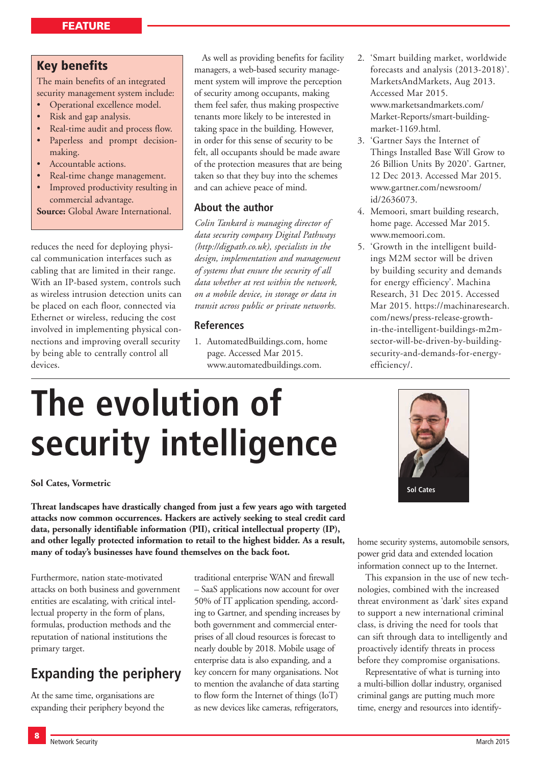## Key benefits

The main benefits of an integrated security management system include:

- Operational excellence model.
- Risk and gap analysis.
- Real-time audit and process flow.
- Paperless and prompt decisionmaking.
- Accountable actions.
- Real-time change management.
- Improved productivity resulting in commercial advantage.

**Source:** Global Aware International.

reduces the need for deploying physical communication interfaces such as cabling that are limited in their range. With an IP-based system, controls such as wireless intrusion detection units can be placed on each floor, connected via Ethernet or wireless, reducing the cost involved in implementing physical connections and improving overall security by being able to centrally control all devices.

As well as providing benefits for facility managers, a web-based security management system will improve the perception of security among occupants, making them feel safer, thus making prospective tenants more likely to be interested in taking space in the building. However, in order for this sense of security to be felt, all occupants should be made aware of the protection measures that are being taken so that they buy into the schemes and can achieve peace of mind.

#### **About the author**

*Colin Tankard is managing director of data security company Digital Pathways (http://digpath.co.uk), specialists in the design, implementation and management of systems that ensure the security of all data whether at rest within the network, on a mobile device, in storage or data in transit across public or private networks.* 

#### **References**

1. AutomatedBuildings.com, home page. Accessed Mar 2015. www.automatedbuildings.com.

- 2. 'Smart building market, worldwide forecasts and analysis (2013-2018)'. MarketsAndMarkets, Aug 2013. Accessed Mar 2015. www.marketsandmarkets.com/ Market-Reports/smart-buildingmarket-1169.html.
- 3. 'Gartner Says the Internet of Things Installed Base Will Grow to 26 Billion Units By 2020'. Gartner, 12 Dec 2013. Accessed Mar 2015. www.gartner.com/newsroom/ id/2636073.
- 4. Memoori, smart building research, home page. Accessed Mar 2015. www.memoori.com.
- 5. 'Growth in the intelligent buildings M2M sector will be driven by building security and demands for energy efficiency'. Machina Research, 31 Dec 2015. Accessed Mar 2015. https://machinaresearch. com/news/press-release-growthin-the-intelligent-buildings-m2msector-will-be-driven-by-buildingsecurity-and-demands-for-energyefficiency/.

# **The evolution of security intelligence**

**Sol Cates, Vormetric**

**Threat landscapes have drastically changed from just a few years ago with targeted attacks now common occurrences. Hackers are actively seeking to steal credit card data, personally identifiable information (PII), critical intellectual property (IP), and other legally protected information to retail to the highest bidder. As a result, many of today's businesses have found themselves on the back foot.** 

Furthermore, nation state-motivated attacks on both business and government entities are escalating, with critical intellectual property in the form of plans, formulas, production methods and the reputation of national institutions the primary target.

## **Expanding the periphery**

At the same time, organisations are expanding their periphery beyond the traditional enterprise WAN and firewall – SaaS applications now account for over 50% of IT application spending, according to Gartner, and spending increases by both government and commercial enterprises of all cloud resources is forecast to nearly double by 2018. Mobile usage of enterprise data is also expanding, and a key concern for many organisations. Not to mention the avalanche of data starting to flow form the Internet of things (IoT) as new devices like cameras, refrigerators,



home security systems, automobile sensors, power grid data and extended location information connect up to the Internet.

This expansion in the use of new technologies, combined with the increased threat environment as 'dark' sites expand to support a new international criminal class, is driving the need for tools that can sift through data to intelligently and proactively identify threats in process before they compromise organisations.

Representative of what is turning into a multi-billion dollar industry, organised criminal gangs are putting much more time, energy and resources into identify-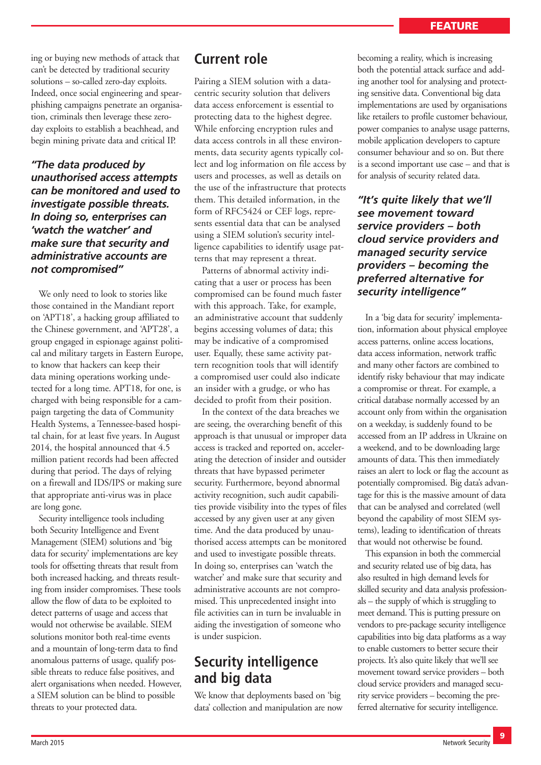ing or buying new methods of attack that can't be detected by traditional security solutions – so-called zero-day exploits. Indeed, once social engineering and spearphishing campaigns penetrate an organisation, criminals then leverage these zeroday exploits to establish a beachhead, and begin mining private data and critical IP.

#### *"The data produced by unauthorised access attempts can be monitored and used to investigate possible threats. In doing so, enterprises can 'watch the watcher' and make sure that security and administrative accounts are not compromised"*

We only need to look to stories like those contained in the Mandiant report on 'APT18', a hacking group affiliated to the Chinese government, and 'APT28', a group engaged in espionage against political and military targets in Eastern Europe, to know that hackers can keep their data mining operations working undetected for a long time. APT18, for one, is charged with being responsible for a campaign targeting the data of Community Health Systems, a Tennessee-based hospital chain, for at least five years. In August 2014, the hospital announced that 4.5 million patient records had been affected during that period. The days of relying on a firewall and IDS/IPS or making sure that appropriate anti-virus was in place are long gone.

Security intelligence tools including both Security Intelligence and Event Management (SIEM) solutions and 'big data for security' implementations are key tools for offsetting threats that result from both increased hacking, and threats resulting from insider compromises. These tools allow the flow of data to be exploited to detect patterns of usage and access that would not otherwise be available. SIEM solutions monitor both real-time events and a mountain of long-term data to find anomalous patterns of usage, qualify possible threats to reduce false positives, and alert organisations when needed. However, a SIEM solution can be blind to possible threats to your protected data.

## **Current role**

Pairing a SIEM solution with a datacentric security solution that delivers data access enforcement is essential to protecting data to the highest degree. While enforcing encryption rules and data access controls in all these environments, data security agents typically collect and log information on file access by users and processes, as well as details on the use of the infrastructure that protects them. This detailed information, in the form of RFC5424 or CEF logs, represents essential data that can be analysed using a SIEM solution's security intelligence capabilities to identify usage patterns that may represent a threat.

Patterns of abnormal activity indicating that a user or process has been compromised can be found much faster with this approach. Take, for example, an administrative account that suddenly begins accessing volumes of data; this may be indicative of a compromised user. Equally, these same activity pattern recognition tools that will identify a compromised user could also indicate an insider with a grudge, or who has decided to profit from their position.

In the context of the data breaches we are seeing, the overarching benefit of this approach is that unusual or improper data access is tracked and reported on, accelerating the detection of insider and outsider threats that have bypassed perimeter security. Furthermore, beyond abnormal activity recognition, such audit capabilities provide visibility into the types of files accessed by any given user at any given time. And the data produced by unauthorised access attempts can be monitored and used to investigate possible threats. In doing so, enterprises can 'watch the watcher' and make sure that security and administrative accounts are not compromised. This unprecedented insight into file activities can in turn be invaluable in aiding the investigation of someone who is under suspicion.

## **Security intelligence and big data**

We know that deployments based on 'big data' collection and manipulation are now becoming a reality, which is increasing both the potential attack surface and adding another tool for analysing and protecting sensitive data. Conventional big data implementations are used by organisations like retailers to profile customer behaviour, power companies to analyse usage patterns, mobile application developers to capture consumer behaviour and so on. But there is a second important use case – and that is for analysis of security related data.

#### *"It's quite likely that we'll see movement toward service providers – both cloud service providers and managed security service providers – becoming the preferred alternative for security intelligence"*

In a 'big data for security' implementation, information about physical employee access patterns, online access locations, data access information, network traffic and many other factors are combined to identify risky behaviour that may indicate a compromise or threat. For example, a critical database normally accessed by an account only from within the organisation on a weekday, is suddenly found to be accessed from an IP address in Ukraine on a weekend, and to be downloading large amounts of data. This then immediately raises an alert to lock or flag the account as potentially compromised. Big data's advantage for this is the massive amount of data that can be analysed and correlated (well beyond the capability of most SIEM systems), leading to identification of threats that would not otherwise be found.

This expansion in both the commercial and security related use of big data, has also resulted in high demand levels for skilled security and data analysis professionals – the supply of which is struggling to meet demand. This is putting pressure on vendors to pre-package security intelligence capabilities into big data platforms as a way to enable customers to better secure their projects. It's also quite likely that we'll see movement toward service providers – both cloud service providers and managed security service providers – becoming the preferred alternative for security intelligence.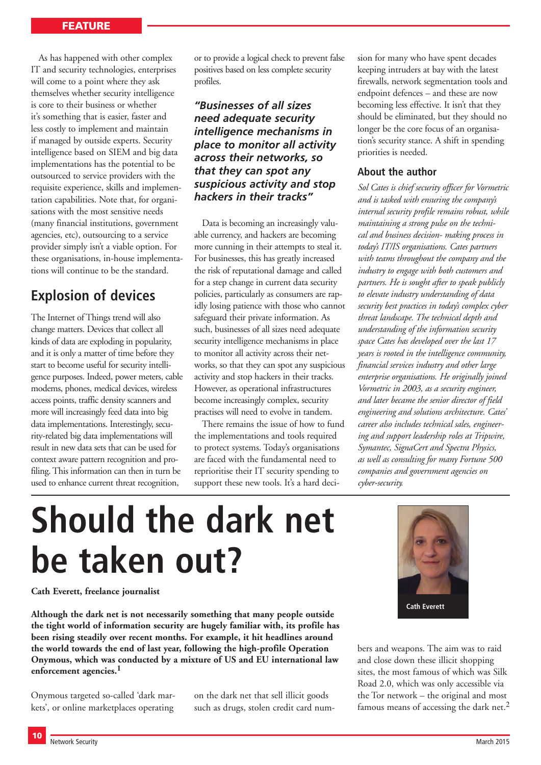As has happened with other complex IT and security technologies, enterprises will come to a point where they ask themselves whether security intelligence is core to their business or whether it's something that is easier, faster and less costly to implement and maintain if managed by outside experts. Security intelligence based on SIEM and big data implementations has the potential to be outsourced to service providers with the requisite experience, skills and implementation capabilities. Note that, for organisations with the most sensitive needs (many financial institutions, government agencies, etc), outsourcing to a service provider simply isn't a viable option. For these organisations, in-house implementations will continue to be the standard.

## **Explosion of devices**

The Internet of Things trend will also change matters. Devices that collect all kinds of data are exploding in popularity, and it is only a matter of time before they start to become useful for security intelligence purposes. Indeed, power meters, cable modems, phones, medical devices, wireless access points, traffic density scanners and more will increasingly feed data into big data implementations. Interestingly, security-related big data implementations will result in new data sets that can be used for context aware pattern recognition and profiling. This information can then in turn be used to enhance current threat recognition,

or to provide a logical check to prevent false positives based on less complete security profiles.

### *"Businesses of all sizes need adequate security intelligence mechanisms in place to monitor all activity across their networks, so that they can spot any suspicious activity and stop hackers in their tracks"*

Data is becoming an increasingly valuable currency, and hackers are becoming more cunning in their attempts to steal it. For businesses, this has greatly increased the risk of reputational damage and called for a step change in current data security policies, particularly as consumers are rapidly losing patience with those who cannot safeguard their private information. As such, businesses of all sizes need adequate security intelligence mechanisms in place to monitor all activity across their networks, so that they can spot any suspicious activity and stop hackers in their tracks. However, as operational infrastructures become increasingly complex, security practises will need to evolve in tandem.

There remains the issue of how to fund the implementations and tools required to protect systems. Today's organisations are faced with the fundamental need to reprioritise their IT security spending to support these new tools. It's a hard decision for many who have spent decades keeping intruders at bay with the latest firewalls, network segmentation tools and endpoint defences – and these are now becoming less effective. It isn't that they should be eliminated, but they should no longer be the core focus of an organisation's security stance. A shift in spending priorities is needed.

#### **About the author**

*Sol Cates is chief security officer for Vormetric and is tasked with ensuring the company's internal security profile remains robust, while maintaining a strong pulse on the technical and business decision- making process in today's IT/IS organisations. Cates partners with teams throughout the company and the industry to engage with both customers and partners. He is sought after to speak publicly to elevate industry understanding of data security best practices in today's complex cyber threat landscape. The technical depth and understanding of the information security space Cates has developed over the last 17 years is rooted in the intelligence community, financial services industry and other large enterprise organisations. He originally joined Vormetric in 2003, as a security engineer, and later became the senior director of field engineering and solutions architecture. Cates' career also includes technical sales, engineering and support leadership roles at Tripwire, Symantec, SignaCert and Spectra Physics, as well as consulting for many Fortune 500 companies and government agencies on cyber-security.*

## **Should the dark net be taken out?**

**Cath Everett, freelance journalist**

**Although the dark net is not necessarily something that many people outside the tight world of information security are hugely familiar with, its profile has been rising steadily over recent months. For example, it hit headlines around the world towards the end of last year, following the high-profile Operation Onymous, which was conducted by a mixture of US and EU international law enforcement agencies.<sup>1</sup>**

Onymous targeted so-called 'dark markets', or online marketplaces operating

on the dark net that sell illicit goods such as drugs, stolen credit card num-



bers and weapons. The aim was to raid and close down these illicit shopping sites, the most famous of which was Silk Road 2.0, which was only accessible via the Tor network – the original and most famous means of accessing the dark net.<sup>2</sup>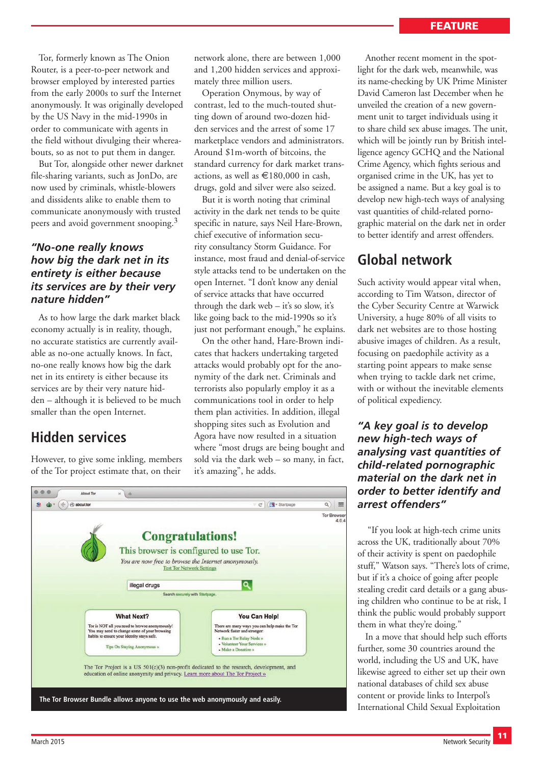Tor, formerly known as The Onion Router, is a peer-to-peer network and browser employed by interested parties from the early 2000s to surf the Internet anonymously. It was originally developed by the US Navy in the mid-1990s in order to communicate with agents in the field without divulging their whereabouts, so as not to put them in danger.

But Tor, alongside other newer darknet file-sharing variants, such as JonDo, are now used by criminals, whistle-blowers and dissidents alike to enable them to communicate anonymously with trusted peers and avoid government snooping.<sup>3</sup>

#### *"No-one really knows how big the dark net in its entirety is either because its services are by their very nature hidden"*

As to how large the dark market black economy actually is in reality, though, no accurate statistics are currently available as no-one actually knows. In fact, no-one really knows how big the dark net in its entirety is either because its services are by their very nature hidden – although it is believed to be much smaller than the open Internet.

## **Hidden services**

However, to give some inkling, members of the Tor project estimate that, on their

network alone, there are between 1,000 and 1,200 hidden services and approximately three million users.

Operation Onymous, by way of contrast, led to the much-touted shutting down of around two-dozen hidden services and the arrest of some 17 marketplace vendors and administrators. Around \$1m-worth of bitcoins, the standard currency for dark market transactions, as well as  $\text{£}180,000$  in cash, drugs, gold and silver were also seized.

But it is worth noting that criminal activity in the dark net tends to be quite specific in nature, says Neil Hare-Brown, chief executive of information security consultancy Storm Guidance. For instance, most fraud and denial-of-service style attacks tend to be undertaken on the open Internet. "I don't know any denial of service attacks that have occurred through the dark web – it's so slow, it's like going back to the mid-1990s so it's just not performant enough," he explains.

On the other hand, Hare-Brown indicates that hackers undertaking targeted attacks would probably opt for the anonymity of the dark net. Criminals and terrorists also popularly employ it as a communications tool in order to help them plan activities. In addition, illegal shopping sites such as Evolution and Agora have now resulted in a situation where "most drugs are being bought and sold via the dark web – so many, in fact, it's amazing", he adds.



Another recent moment in the spotlight for the dark web, meanwhile, was its name-checking by UK Prime Minister David Cameron last December when he unveiled the creation of a new government unit to target individuals using it to share child sex abuse images. The unit, which will be jointly run by British intelligence agency GCHQ and the National Crime Agency, which fights serious and organised crime in the UK, has yet to be assigned a name. But a key goal is to develop new high-tech ways of analysing vast quantities of child-related pornographic material on the dark net in order to better identify and arrest offenders.

## **Global network**

Such activity would appear vital when, according to Tim Watson, director of the Cyber Security Centre at Warwick University, a huge 80% of all visits to dark net websites are to those hosting abusive images of children. As a result, focusing on paedophile activity as a starting point appears to make sense when trying to tackle dark net crime, with or without the inevitable elements of political expediency.

#### *"A key goal is to develop new high-tech ways of analysing vast quantities of child-related pornographic material on the dark net in order to better identify and arrest offenders"*

 "If you look at high-tech crime units across the UK, traditionally about 70% of their activity is spent on paedophile stuff," Watson says. "There's lots of crime, but if it's a choice of going after people stealing credit card details or a gang abusing children who continue to be at risk, I think the public would probably support them in what they're doing."

In a move that should help such efforts further, some 30 countries around the world, including the US and UK, have likewise agreed to either set up their own national databases of child sex abuse content or provide links to Interpol's International Child Sexual Exploitation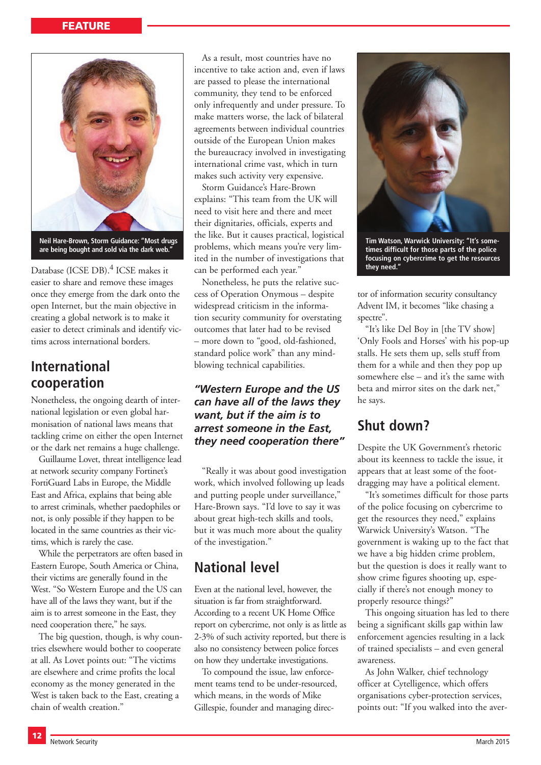

Database (ICSE DB).<sup>4</sup> ICSE makes it easier to share and remove these images once they emerge from the dark onto the open Internet, but the main objective in creating a global network is to make it easier to detect criminals and identify victims across international borders.

## **International cooperation**

Nonetheless, the ongoing dearth of international legislation or even global harmonisation of national laws means that tackling crime on either the open Internet or the dark net remains a huge challenge.

Guillaume Lovet, threat intelligence lead at network security company Fortinet's FortiGuard Labs in Europe, the Middle East and Africa, explains that being able to arrest criminals, whether paedophiles or not, is only possible if they happen to be located in the same countries as their victims, which is rarely the case.

While the perpetrators are often based in Eastern Europe, South America or China, their victims are generally found in the West. "So Western Europe and the US can have all of the laws they want, but if the aim is to arrest someone in the East, they need cooperation there," he says.

The big question, though, is why countries elsewhere would bother to cooperate at all. As Lovet points out: "The victims are elsewhere and crime profits the local economy as the money generated in the West is taken back to the East, creating a chain of wealth creation."

As a result, most countries have no incentive to take action and, even if laws are passed to please the international community, they tend to be enforced only infrequently and under pressure. To make matters worse, the lack of bilateral agreements between individual countries outside of the European Union makes the bureaucracy involved in investigating international crime vast, which in turn makes such activity very expensive.

Storm Guidance's Hare-Brown explains: "This team from the UK will need to visit here and there and meet their dignitaries, officials, experts and the like. But it causes practical, logistical problems, which means you're very limited in the number of investigations that can be performed each year."

Nonetheless, he puts the relative success of Operation Onymous – despite widespread criticism in the information security community for overstating outcomes that later had to be revised – more down to "good, old-fashioned, standard police work" than any mindblowing technical capabilities.

#### *"Western Europe and the US can have all of the laws they want, but if the aim is to arrest someone in the East, they need cooperation there"*

"Really it was about good investigation work, which involved following up leads and putting people under surveillance," Hare-Brown says. "I'd love to say it was about great high-tech skills and tools, but it was much more about the quality of the investigation."

## **National level**

Even at the national level, however, the situation is far from straightforward. According to a recent UK Home Office report on cybercrime, not only is as little as 2-3% of such activity reported, but there is also no consistency between police forces on how they undertake investigations.

To compound the issue, law enforcement teams tend to be under-resourced, which means, in the words of Mike Gillespie, founder and managing direc-



**Tim Watson, Warwick University: "It's sometimes difficult for those parts of the police focusing on cybercrime to get the resources they need."**

tor of information security consultancy Advent IM, it becomes "like chasing a spectre".

"It's like Del Boy in [the TV show] 'Only Fools and Horses' with his pop-up stalls. He sets them up, sells stuff from them for a while and then they pop up somewhere else – and it's the same with beta and mirror sites on the dark net," he says.

## **Shut down?**

Despite the UK Government's rhetoric about its keenness to tackle the issue, it appears that at least some of the footdragging may have a political element.

"It's sometimes difficult for those parts of the police focusing on cybercrime to get the resources they need," explains Warwick University's Watson. "The government is waking up to the fact that we have a big hidden crime problem, but the question is does it really want to show crime figures shooting up, especially if there's not enough money to properly resource things?"

This ongoing situation has led to there being a significant skills gap within law enforcement agencies resulting in a lack of trained specialists – and even general awareness.

As John Walker, chief technology officer at Cytelligence, which offers organisations cyber-protection services, points out: "If you walked into the aver-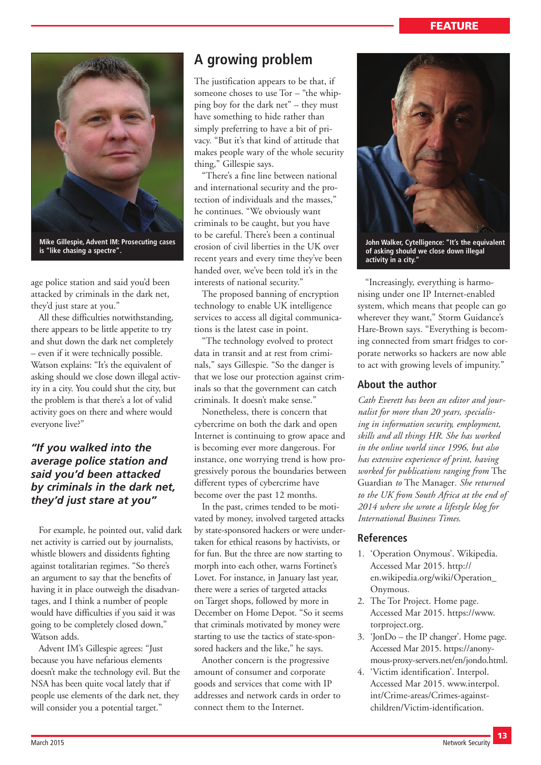

**Mike Gillespie, Advent IM: Prosecuting cases is "like chasing a spectre".**

age police station and said you'd been attacked by criminals in the dark net, they'd just stare at you."

All these difficulties notwithstanding, there appears to be little appetite to try and shut down the dark net completely – even if it were technically possible. Watson explains: "It's the equivalent of asking should we close down illegal activity in a city. You could shut the city, but the problem is that there's a lot of valid activity goes on there and where would everyone live?"

#### *"If you walked into the average police station and said you'd been attacked by criminals in the dark net, they'd just stare at you"*

For example, he pointed out, valid dark net activity is carried out by journalists, whistle blowers and dissidents fighting against totalitarian regimes. "So there's an argument to say that the benefits of having it in place outweigh the disadvantages, and I think a number of people would have difficulties if you said it was going to be completely closed down," Watson adds.

Advent IM's Gillespie agrees: "Just because you have nefarious elements doesn't make the technology evil. But the NSA has been quite vocal lately that if people use elements of the dark net, they will consider you a potential target."

## **A growing problem**

The justification appears to be that, if someone choses to use Tor – "the whipping boy for the dark net" – they must have something to hide rather than simply preferring to have a bit of privacy. "But it's that kind of attitude that makes people wary of the whole security thing," Gillespie says.

"There's a fine line between national and international security and the protection of individuals and the masses," he continues. "We obviously want criminals to be caught, but you have to be careful. There's been a continual erosion of civil liberties in the UK over recent years and every time they've been handed over, we've been told it's in the interests of national security."

The proposed banning of encryption technology to enable UK intelligence services to access all digital communications is the latest case in point.

"The technology evolved to protect data in transit and at rest from criminals," says Gillespie. "So the danger is that we lose our protection against criminals so that the government can catch criminals. It doesn't make sense."

Nonetheless, there is concern that cybercrime on both the dark and open Internet is continuing to grow apace and is becoming ever more dangerous. For instance, one worrying trend is how progressively porous the boundaries between different types of cybercrime have become over the past 12 months.

In the past, crimes tended to be motivated by money, involved targeted attacks by state-sponsored hackers or were undertaken for ethical reasons by hactivists, or for fun. But the three are now starting to morph into each other, warns Fortinet's Lovet. For instance, in January last year, there were a series of targeted attacks on Target shops, followed by more in December on Home Depot. "So it seems that criminals motivated by money were starting to use the tactics of state-sponsored hackers and the like," he says.

Another concern is the progressive amount of consumer and corporate goods and services that come with IP addresses and network cards in order to connect them to the Internet.



**John Walker, Cytelligence: "It's the equivalent of asking should we close down illegal activity in a city."**

"Increasingly, everything is harmonising under one IP Internet-enabled system, which means that people can go wherever they want," Storm Guidance's Hare-Brown says. "Everything is becoming connected from smart fridges to corporate networks so hackers are now able to act with growing levels of impunity."

#### **About the author**

*Cath Everett has been an editor and journalist for more than 20 years, specialising in information security, employment, skills and all things HR. She has worked in the online world since 1996, but also has extensive experience of print, having worked for publications ranging from* The Guardian *to* The Manager*. She returned to the UK from South Africa at the end of 2014 where she wrote a lifestyle blog for International Business Times.*

#### **References**

- 1. 'Operation Onymous'. Wikipedia. Accessed Mar 2015. http:// en.wikipedia.org/wiki/Operation\_ Onymous.
- 2. The Tor Project. Home page. Accessed Mar 2015. https://www. torproject.org.
- 3. 'JonDo the IP changer'. Home page. Accessed Mar 2015. https://anonymous-proxy-servers.net/en/jondo.html.
- 4. 'Victim identification'. Interpol. Accessed Mar 2015. www.interpol. int/Crime-areas/Crimes-againstchildren/Victim-identification.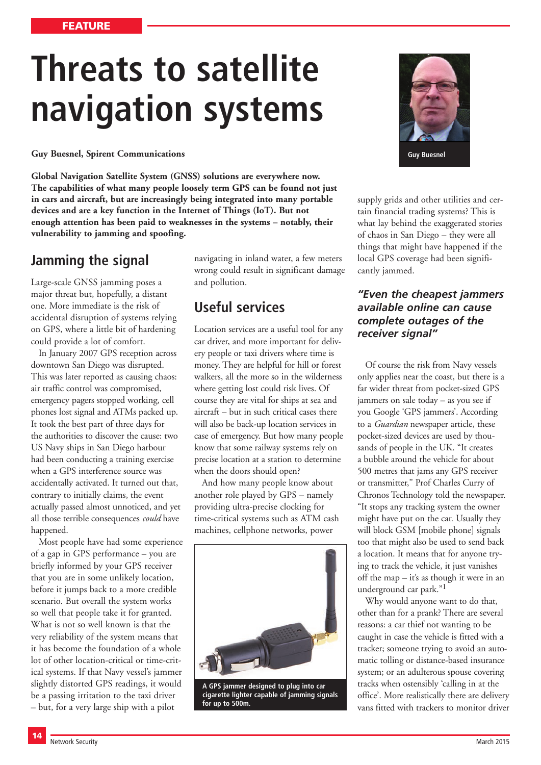## **Threats to satellite navigation systems**

**Guy Buesnel, Spirent Communications**

**Global Navigation Satellite System (GNSS) solutions are everywhere now. The capabilities of what many people loosely term GPS can be found not just in cars and aircraft, but are increasingly being integrated into many portable devices and are a key function in the Internet of Things (IoT). But not enough attention has been paid to weaknesses in the systems – notably, their vulnerability to jamming and spoofing.**

## **Jamming the signal**

Large-scale GNSS jamming poses a major threat but, hopefully, a distant one. More immediate is the risk of accidental disruption of systems relying on GPS, where a little bit of hardening could provide a lot of comfort.

In January 2007 GPS reception across downtown San Diego was disrupted. This was later reported as causing chaos: air traffic control was compromised, emergency pagers stopped working, cell phones lost signal and ATMs packed up. It took the best part of three days for the authorities to discover the cause: two US Navy ships in San Diego harbour had been conducting a training exercise when a GPS interference source was accidentally activated. It turned out that, contrary to initially claims, the event actually passed almost unnoticed, and yet all those terrible consequences *could* have happened.

Most people have had some experience of a gap in GPS performance – you are briefly informed by your GPS receiver that you are in some unlikely location, before it jumps back to a more credible scenario. But overall the system works so well that people take it for granted. What is not so well known is that the very reliability of the system means that it has become the foundation of a whole lot of other location-critical or time-critical systems. If that Navy vessel's jammer slightly distorted GPS readings, it would be a passing irritation to the taxi driver – but, for a very large ship with a pilot

navigating in inland water, a few meters wrong could result in significant damage and pollution.

## **Useful services**

Location services are a useful tool for any car driver, and more important for delivery people or taxi drivers where time is money. They are helpful for hill or forest walkers, all the more so in the wilderness where getting lost could risk lives. Of course they are vital for ships at sea and aircraft – but in such critical cases there will also be back-up location services in case of emergency. But how many people know that some railway systems rely on precise location at a station to determine when the doors should open?

And how many people know about another role played by GPS – namely providing ultra-precise clocking for time-critical systems such as ATM cash machines, cellphone networks, power



**A GPS jammer designed to plug into car cigarette lighter capable of jamming signals for up to 500m.**



supply grids and other utilities and certain financial trading systems? This is what lay behind the exaggerated stories of chaos in San Diego – they were all things that might have happened if the local GPS coverage had been significantly jammed.

#### *"Even the cheapest jammers available online can cause complete outages of the receiver signal"*

Of course the risk from Navy vessels only applies near the coast, but there is a far wider threat from pocket-sized GPS jammers on sale today – as you see if you Google 'GPS jammers'. According to a *Guardian* newspaper article, these pocket-sized devices are used by thousands of people in the UK. "It creates a bubble around the vehicle for about 500 metres that jams any GPS receiver or transmitter," Prof Charles Curry of Chronos Technology told the newspaper. "It stops any tracking system the owner might have put on the car. Usually they will block GSM [mobile phone] signals too that might also be used to send back a location. It means that for anyone trying to track the vehicle, it just vanishes off the map – it's as though it were in an underground car park."<sup>1</sup>

Why would anyone want to do that, other than for a prank? There are several reasons: a car thief not wanting to be caught in case the vehicle is fitted with a tracker; someone trying to avoid an automatic tolling or distance-based insurance system; or an adulterous spouse covering tracks when ostensibly 'calling in at the office'. More realistically there are delivery vans fitted with trackers to monitor driver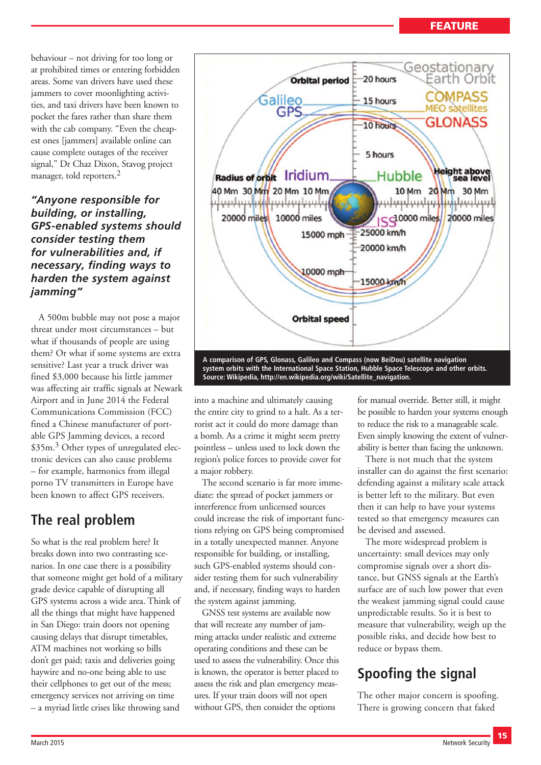behaviour – not driving for too long or at prohibited times or entering forbidden areas. Some van drivers have used these jammers to cover moonlighting activities, and taxi drivers have been known to pocket the fares rather than share them with the cab company. "Even the cheapest ones [jammers] available online can cause complete outages of the receiver signal," Dr Chaz Dixon, Stavog project manager, told reporters.<sup>2</sup>

*"Anyone responsible for building, or installing, GPS-enabled systems should consider testing them for vulnerabilities and, if necessary, finding ways to harden the system against jamming"*

A 500m bubble may not pose a major threat under most circumstances – but what if thousands of people are using them? Or what if some systems are extra sensitive? Last year a truck driver was fined \$3,000 because his little jammer was affecting air traffic signals at Newark Airport and in June 2014 the Federal Communications Commission (FCC) fined a Chinese manufacturer of portable GPS Jamming devices, a record \$35m.<sup>3</sup> Other types of unregulated electronic devices can also cause problems – for example, harmonics from illegal porno TV transmitters in Europe have been known to affect GPS receivers.

## **The real problem**

So what is the real problem here? It breaks down into two contrasting scenarios. In one case there is a possibility that someone might get hold of a military grade device capable of disrupting all GPS systems across a wide area. Think of all the things that might have happened in San Diego: train doors not opening causing delays that disrupt timetables, ATM machines not working so bills don't get paid; taxis and deliveries going haywire and no-one being able to use their cellphones to get out of the mess; emergency services not arriving on time – a myriad little crises like throwing sand



into a machine and ultimately causing the entire city to grind to a halt. As a terrorist act it could do more damage than a bomb. As a crime it might seem pretty pointless – unless used to lock down the region's police forces to provide cover for a major robbery.

The second scenario is far more immediate: the spread of pocket jammers or interference from unlicensed sources could increase the risk of important functions relying on GPS being compromised in a totally unexpected manner. Anyone responsible for building, or installing, such GPS-enabled systems should consider testing them for such vulnerability and, if necessary, finding ways to harden the system against jamming.

GNSS test systems are available now that will recreate any number of jamming attacks under realistic and extreme operating conditions and these can be used to assess the vulnerability. Once this is known, the operator is better placed to assess the risk and plan emergency measures. If your train doors will not open without GPS, then consider the options

for manual override. Better still, it might be possible to harden your systems enough to reduce the risk to a manageable scale. Even simply knowing the extent of vulnerability is better than facing the unknown.

There is not much that the system installer can do against the first scenario: defending against a military scale attack is better left to the military. But even then it can help to have your systems tested so that emergency measures can be devised and assessed.

The more widespread problem is uncertainty: small devices may only compromise signals over a short distance, but GNSS signals at the Earth's surface are of such low power that even the weakest jamming signal could cause unpredictable results. So it is best to measure that vulnerability, weigh up the possible risks, and decide how best to reduce or bypass them.

## **Spoofing the signal**

The other major concern is spoofing. There is growing concern that faked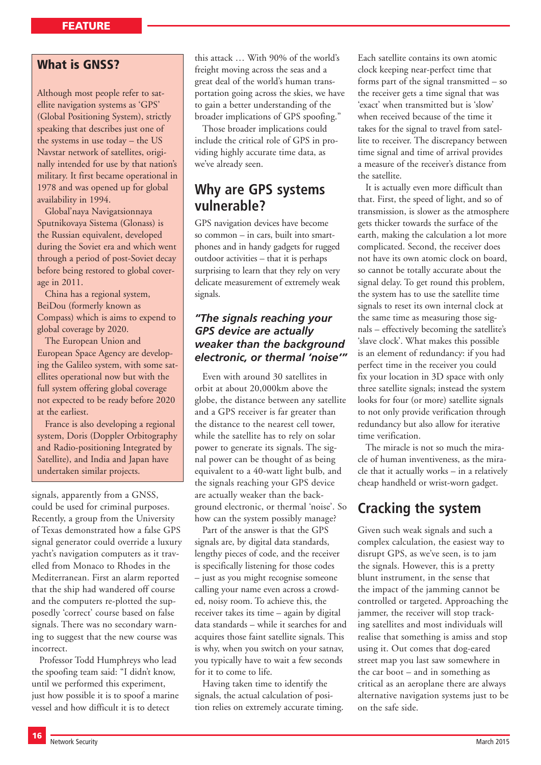### What is GNSS?

Although most people refer to satellite navigation systems as 'GPS' (Global Positioning System), strictly speaking that describes just one of the systems in use today – the US Navstar network of satellites, originally intended for use by that nation's military. It first became operational in 1978 and was opened up for global availability in 1994.

Global'naya Navigatsionnaya Sputnikovaya Sistema (Glonass) is the Russian equivalent, developed during the Soviet era and which went through a period of post-Soviet decay before being restored to global coverage in 2011.

China has a regional system, BeiDou (formerly known as Compass) which is aims to expend to global coverage by 2020.

The European Union and European Space Agency are developing the Galileo system, with some satellites operational now but with the full system offering global coverage not expected to be ready before 2020 at the earliest.

France is also developing a regional system, Doris (Doppler Orbitography and Radio-positioning Integrated by Satellite), and India and Japan have undertaken similar projects.

signals, apparently from a GNSS, could be used for criminal purposes. Recently, a group from the University of Texas demonstrated how a false GPS signal generator could override a luxury yacht's navigation computers as it travelled from Monaco to Rhodes in the Mediterranean. First an alarm reported that the ship had wandered off course and the computers re-plotted the supposedly 'correct' course based on false signals. There was no secondary warning to suggest that the new course was incorrect.

Professor Todd Humphreys who lead the spoofing team said: "I didn't know, until we performed this experiment, just how possible it is to spoof a marine vessel and how difficult it is to detect

this attack … With 90% of the world's freight moving across the seas and a great deal of the world's human transportation going across the skies, we have to gain a better understanding of the broader implications of GPS spoofing."

Those broader implications could include the critical role of GPS in providing highly accurate time data, as we've already seen.

## **Why are GPS systems vulnerable?**

GPS navigation devices have become so common – in cars, built into smartphones and in handy gadgets for rugged outdoor activities – that it is perhaps surprising to learn that they rely on very delicate measurement of extremely weak signals.

#### *"The signals reaching your GPS device are actually weaker than the background electronic, or thermal 'noise'"*

Even with around 30 satellites in orbit at about 20,000km above the globe, the distance between any satellite and a GPS receiver is far greater than the distance to the nearest cell tower, while the satellite has to rely on solar power to generate its signals. The signal power can be thought of as being equivalent to a 40-watt light bulb, and the signals reaching your GPS device are actually weaker than the background electronic, or thermal 'noise'. So how can the system possibly manage?

Part of the answer is that the GPS signals are, by digital data standards, lengthy pieces of code, and the receiver is specifically listening for those codes – just as you might recognise someone calling your name even across a crowded, noisy room. To achieve this, the receiver takes its time – again by digital data standards – while it searches for and acquires those faint satellite signals. This is why, when you switch on your satnav, you typically have to wait a few seconds for it to come to life.

Having taken time to identify the signals, the actual calculation of position relies on extremely accurate timing.

Each satellite contains its own atomic clock keeping near-perfect time that forms part of the signal transmitted – so the receiver gets a time signal that was 'exact' when transmitted but is 'slow' when received because of the time it takes for the signal to travel from satellite to receiver. The discrepancy between time signal and time of arrival provides a measure of the receiver's distance from the satellite.

It is actually even more difficult than that. First, the speed of light, and so of transmission, is slower as the atmosphere gets thicker towards the surface of the earth, making the calculation a lot more complicated. Second, the receiver does not have its own atomic clock on board, so cannot be totally accurate about the signal delay. To get round this problem, the system has to use the satellite time signals to reset its own internal clock at the same time as measuring those signals – effectively becoming the satellite's 'slave clock'. What makes this possible is an element of redundancy: if you had perfect time in the receiver you could fix your location in 3D space with only three satellite signals; instead the system looks for four (or more) satellite signals to not only provide verification through redundancy but also allow for iterative time verification.

The miracle is not so much the miracle of human inventiveness, as the miracle that it actually works – in a relatively cheap handheld or wrist-worn gadget.

## **Cracking the system**

Given such weak signals and such a complex calculation, the easiest way to disrupt GPS, as we've seen, is to jam the signals. However, this is a pretty blunt instrument, in the sense that the impact of the jamming cannot be controlled or targeted. Approaching the jammer, the receiver will stop tracking satellites and most individuals will realise that something is amiss and stop using it. Out comes that dog-eared street map you last saw somewhere in the car boot – and in something as critical as an aeroplane there are always alternative navigation systems just to be on the safe side.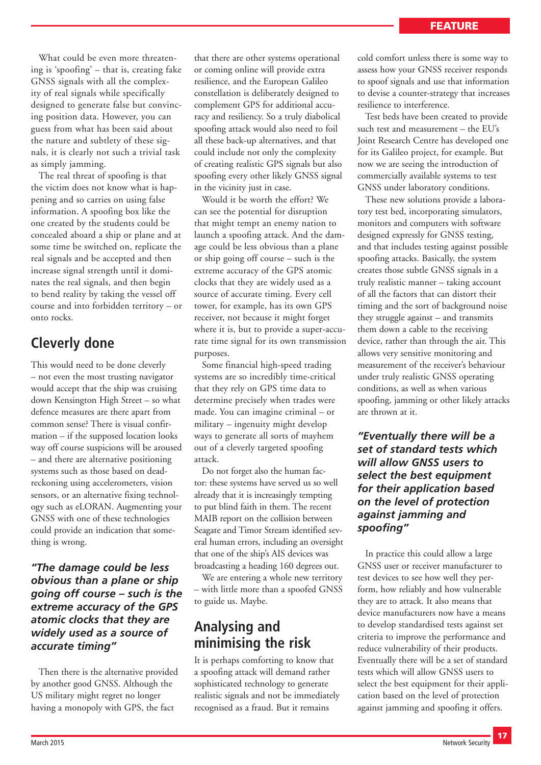What could be even more threatening is 'spoofing' – that is, creating fake GNSS signals with all the complexity of real signals while specifically designed to generate false but convincing position data. However, you can guess from what has been said about the nature and subtlety of these signals, it is clearly not such a trivial task as simply jamming.

The real threat of spoofing is that the victim does not know what is happening and so carries on using false information. A spoofing box like the one created by the students could be concealed aboard a ship or plane and at some time be switched on, replicate the real signals and be accepted and then increase signal strength until it dominates the real signals, and then begin to bend reality by taking the vessel off course and into forbidden territory – or onto rocks.

## **Cleverly done**

This would need to be done cleverly – not even the most trusting navigator would accept that the ship was cruising down Kensington High Street – so what defence measures are there apart from common sense? There is visual confirmation – if the supposed location looks way off course suspicions will be aroused – and there are alternative positioning systems such as those based on deadreckoning using accelerometers, vision sensors, or an alternative fixing technology such as eLORAN. Augmenting your GNSS with one of these technologies could provide an indication that something is wrong.

#### *"The damage could be less obvious than a plane or ship going off course – such is the extreme accuracy of the GPS atomic clocks that they are widely used as a source of accurate timing"*

Then there is the alternative provided by another good GNSS. Although the US military might regret no longer having a monopoly with GPS, the fact

that there are other systems operational or coming online will provide extra resilience, and the European Galileo constellation is deliberately designed to complement GPS for additional accuracy and resiliency. So a truly diabolical spoofing attack would also need to foil all these back-up alternatives, and that could include not only the complexity of creating realistic GPS signals but also spoofing every other likely GNSS signal in the vicinity just in case.

Would it be worth the effort? We can see the potential for disruption that might tempt an enemy nation to launch a spoofing attack. And the damage could be less obvious than a plane or ship going off course – such is the extreme accuracy of the GPS atomic clocks that they are widely used as a source of accurate timing. Every cell tower, for example, has its own GPS receiver, not because it might forget where it is, but to provide a super-accurate time signal for its own transmission purposes.

Some financial high-speed trading systems are so incredibly time-critical that they rely on GPS time data to determine precisely when trades were made. You can imagine criminal – or military – ingenuity might develop ways to generate all sorts of mayhem out of a cleverly targeted spoofing attack.

Do not forget also the human factor: these systems have served us so well already that it is increasingly tempting to put blind faith in them. The recent MAIB report on the collision between Seagate and Timor Stream identified several human errors, including an oversight that one of the ship's AIS devices was broadcasting a heading 160 degrees out.

We are entering a whole new territory – with little more than a spoofed GNSS to guide us. Maybe.

## **Analysing and minimising the risk**

It is perhaps comforting to know that a spoofing attack will demand rather sophisticated technology to generate realistic signals and not be immediately recognised as a fraud. But it remains

cold comfort unless there is some way to assess how your GNSS receiver responds to spoof signals and use that information to devise a counter-strategy that increases resilience to interference.

Test beds have been created to provide such test and measurement – the EU's Joint Research Centre has developed one for its Galileo project, for example. But now we are seeing the introduction of commercially available systems to test GNSS under laboratory conditions.

These new solutions provide a laboratory test bed, incorporating simulators, monitors and computers with software designed expressly for GNSS testing, and that includes testing against possible spoofing attacks. Basically, the system creates those subtle GNSS signals in a truly realistic manner – taking account of all the factors that can distort their timing and the sort of background noise they struggle against – and transmits them down a cable to the receiving device, rather than through the air. This allows very sensitive monitoring and measurement of the receiver's behaviour under truly realistic GNSS operating conditions, as well as when various spoofing, jamming or other likely attacks are thrown at it.

*"Eventually there will be a set of standard tests which will allow GNSS users to select the best equipment for their application based on the level of protection against jamming and spoofing"*

In practice this could allow a large GNSS user or receiver manufacturer to test devices to see how well they perform, how reliably and how vulnerable they are to attack. It also means that device manufacturers now have a means to develop standardised tests against set criteria to improve the performance and reduce vulnerability of their products. Eventually there will be a set of standard tests which will allow GNSS users to select the best equipment for their application based on the level of protection against jamming and spoofing it offers.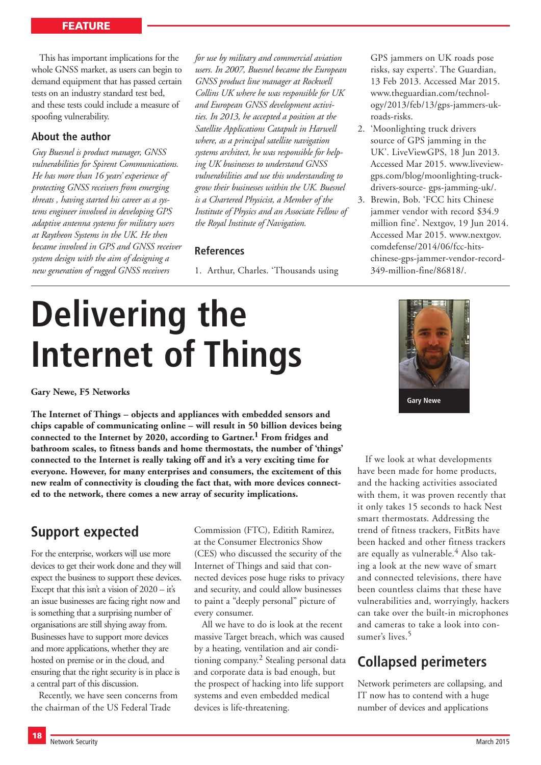This has important implications for the whole GNSS market, as users can begin to demand equipment that has passed certain tests on an industry standard test bed, and these tests could include a measure of spoofing vulnerability.

#### **About the author**

*Guy Buesnel is product manager, GNSS vulnerabilities for Spirent Communications. He has more than 16 years' experience of protecting GNSS receivers from emerging threats , having started his career as a systems engineer involved in developing GPS adaptive antenna systems for military users at Raytheon Systems in the UK. He then became involved in GPS and GNSS receiver system design with the aim of designing a new generation of rugged GNSS receivers* 

*for use by military and commercial aviation users. In 2007, Buesnel became the European GNSS product line manager at Rockwell Collins UK where he was responsible for UK and European GNSS development activities. In 2013, he accepted a position at the Satellite Applications Catapult in Harwell where, as a principal satellite navigation systems architect, he was responsible for helping UK businesses to understand GNSS vulnerabilities and use this understanding to grow their businesses within the UK. Buesnel is a Chartered Physicist, a Member of the Institute of Physics and an Associate Fellow of the Royal Institute of Navigation.* 

### **References**

1. Arthur, Charles. 'Thousands using

GPS jammers on UK roads pose risks, say experts'. The Guardian, 13 Feb 2013. Accessed Mar 2015. www.theguardian.com/technology/2013/feb/13/gps-jammers-ukroads-risks.

- 2. 'Moonlighting truck drivers source of GPS jamming in the UK'. LiveViewGPS, 18 Jun 2013. Accessed Mar 2015. www.liveviewgps.com/blog/moonlighting-truckdrivers-source- gps-jamming-uk/.
- 3. Brewin, Bob. 'FCC hits Chinese jammer vendor with record \$34.9 million fine'. Nextgov, 19 Jun 2014. Accessed Mar 2015. www.nextgov. comdefense/2014/06/fcc-hitschinese-gps-jammer-vendor-record-349-million-fine/86818/.

# **Delivering the Internet of Things**



**Gary Newe, F5 Networks**

**The Internet of Things – objects and appliances with embedded sensors and chips capable of communicating online – will result in 50 billion devices being connected to the Internet by 2020, according to Gartner.<sup>1</sup> From fridges and bathroom scales, to fitness bands and home thermostats, the number of 'things' connected to the Internet is really taking off and it's a very exciting time for everyone. However, for many enterprises and consumers, the excitement of this new realm of connectivity is clouding the fact that, with more devices connected to the network, there comes a new array of security implications.**

## **Support expected**

For the enterprise, workers will use more devices to get their work done and they will expect the business to support these devices. Except that this isn't a vision of 2020 – it's an issue businesses are facing right now and is something that a surprising number of organisations are still shying away from. Businesses have to support more devices and more applications, whether they are hosted on premise or in the cloud, and ensuring that the right security is in place is a central part of this discussion.

Recently, we have seen concerns from the chairman of the US Federal Trade

Commission (FTC), Editith Ramirez, at the Consumer Electronics Show (CES) who discussed the security of the Internet of Things and said that connected devices pose huge risks to privacy and security, and could allow businesses to paint a "deeply personal" picture of every consumer.

All we have to do is look at the recent massive Target breach, which was caused by a heating, ventilation and air conditioning company.<sup>2</sup> Stealing personal data and corporate data is bad enough, but the prospect of hacking into life support systems and even embedded medical devices is life-threatening.

If we look at what developments have been made for home products, and the hacking activities associated with them, it was proven recently that it only takes 15 seconds to hack Nest smart thermostats. Addressing the trend of fitness trackers, FitBits have been hacked and other fitness trackers are equally as vulnerable.<sup>4</sup> Also taking a look at the new wave of smart and connected televisions, there have been countless claims that these have vulnerabilities and, worryingly, hackers can take over the built-in microphones and cameras to take a look into consumer's lives.<sup>5</sup>

## **Collapsed perimeters**

Network perimeters are collapsing, and IT now has to contend with a huge number of devices and applications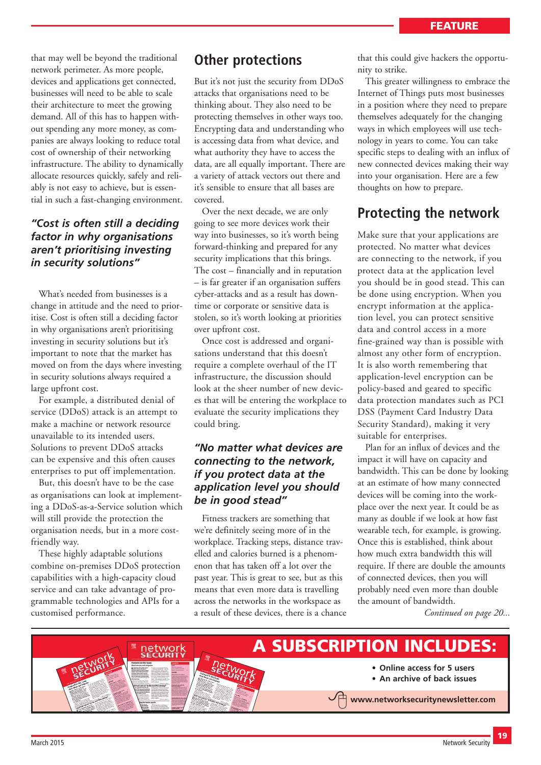that may well be beyond the traditional network perimeter. As more people, devices and applications get connected, businesses will need to be able to scale their architecture to meet the growing demand. All of this has to happen without spending any more money, as companies are always looking to reduce total cost of ownership of their networking infrastructure. The ability to dynamically allocate resources quickly, safely and reliably is not easy to achieve, but is essential in such a fast-changing environment.

#### *"Cost is often still a deciding factor in why organisations aren't prioritising investing in security solutions"*

What's needed from businesses is a change in attitude and the need to prioritise. Cost is often still a deciding factor in why organisations aren't prioritising investing in security solutions but it's important to note that the market has moved on from the days where investing in security solutions always required a large upfront cost.

For example, a distributed denial of service (DDoS) attack is an attempt to make a machine or network resource unavailable to its intended users. Solutions to prevent DDoS attacks can be expensive and this often causes enterprises to put off implementation.

But, this doesn't have to be the case as organisations can look at implementing a DDoS-as-a-Service solution which will still provide the protection the organisation needs, but in a more costfriendly way.

These highly adaptable solutions combine on-premises DDoS protection capabilities with a high-capacity cloud service and can take advantage of programmable technologies and APIs for a customised performance.

## **Other protections**

But it's not just the security from DDoS attacks that organisations need to be thinking about. They also need to be protecting themselves in other ways too. Encrypting data and understanding who is accessing data from what device, and what authority they have to access the data, are all equally important. There are a variety of attack vectors out there and it's sensible to ensure that all bases are covered.

Over the next decade, we are only going to see more devices work their way into businesses, so it's worth being forward-thinking and prepared for any security implications that this brings. The cost – financially and in reputation – is far greater if an organisation suffers cyber-attacks and as a result has downtime or corporate or sensitive data is stolen, so it's worth looking at priorities over upfront cost.

Once cost is addressed and organisations understand that this doesn't require a complete overhaul of the IT infrastructure, the discussion should look at the sheer number of new devices that will be entering the workplace to evaluate the security implications they could bring.

#### *"No matter what devices are connecting to the network, if you protect data at the application level you should be in good stead"*

Fitness trackers are something that we're definitely seeing more of in the workplace. Tracking steps, distance travelled and calories burned is a phenomenon that has taken off a lot over the past year. This is great to see, but as this means that even more data is travelling across the networks in the workspace as a result of these devices, there is a chance that this could give hackers the opportunity to strike.

This greater willingness to embrace the Internet of Things puts most businesses in a position where they need to prepare themselves adequately for the changing ways in which employees will use technology in years to come. You can take specific steps to dealing with an influx of new connected devices making their way into your organisation. Here are a few thoughts on how to prepare.

## **Protecting the network**

Make sure that your applications are protected. No matter what devices are connecting to the network, if you protect data at the application level you should be in good stead. This can be done using encryption. When you encrypt information at the application level, you can protect sensitive data and control access in a more fine-grained way than is possible with almost any other form of encryption. It is also worth remembering that application-level encryption can be policy-based and geared to specific data protection mandates such as PCI DSS (Payment Card Industry Data Security Standard), making it very suitable for enterprises.

Plan for an influx of devices and the impact it will have on capacity and bandwidth. This can be done by looking at an estimate of how many connected devices will be coming into the workplace over the next year. It could be as many as double if we look at how fast wearable tech, for example, is growing. Once this is established, think about how much extra bandwidth this will require. If there are double the amounts of connected devices, then you will probably need even more than double the amount of bandwidth.

*Continued on page 20...*